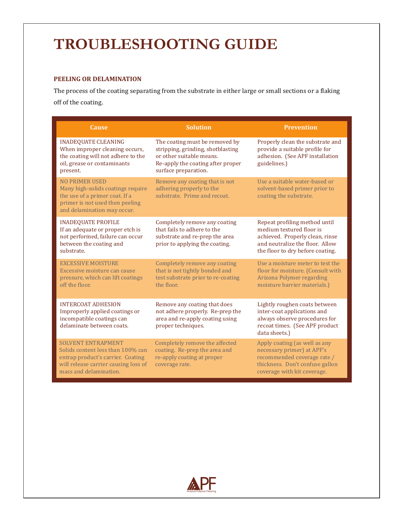# **TROUBLESHOOTING GUIDE**

# **PEELING OR DELAMINATION**

The process of the coating separating from the substrate in either large or small sections or a flaking off of the coating.

| <b>Cause</b>                                                                                                                                                          | <b>Solution</b>                                                                                                                                              | <b>Prevention</b>                                                                                                                                                   |
|-----------------------------------------------------------------------------------------------------------------------------------------------------------------------|--------------------------------------------------------------------------------------------------------------------------------------------------------------|---------------------------------------------------------------------------------------------------------------------------------------------------------------------|
| <b>INADEQUATE CLEANING</b><br>When improper cleaning occurs,<br>the coating will not adhere to the<br>oil, grease or contaminants<br>present.                         | The coating must be removed by<br>stripping, grinding, shotblasting<br>or other suitable means.<br>Re-apply the coating after proper<br>surface preparation. | Properly clean the substrate and<br>provide a suitable profile for<br>adhesion. (See APF installation<br>guidelines.)                                               |
| <b>NO PRIMER USED</b><br>Many high-solids coatings require<br>the use of a primer coat. If a<br>primer is not used then peeling<br>and delamination may occur.        | Remove any coating that is not<br>adhering properly to the<br>substrate. Prime and recoat.                                                                   | Use a suitable water-based or<br>solvent-based primer prior to<br>coating the substrate.                                                                            |
| <b>INADEQUATE PROFILE</b><br>If an adequate or proper etch is<br>not performed, failure can occur<br>between the coating and<br>substrate.                            | Completely remove any coating<br>that fails to adhere to the<br>substrate and re-prep the area<br>prior to applying the coating.                             | Repeat profiling method until<br>medium textured floor is<br>achieved. Properly clean, rinse<br>and neutralize the floor. Allow<br>the floor to dry before coating. |
| <b>EXCESSIVE MOISTURE</b><br>Excessive moisture can cause<br>pressure, which can lift coatings<br>off the floor.                                                      | Completely remove any coating<br>that is not tightly bonded and<br>test substrate prior to re-coating<br>the floor.                                          | Use a moisture meter to test the<br>floor for moisture. (Consult with<br>Arizona Polymer regarding<br>moisture barrier materials.)                                  |
| <b>INTERCOAT ADHESION</b><br>Improperly applied coatings or<br>incompatible coatings can<br>delaminate between coats.                                                 | Remove any coating that does<br>not adhere properly. Re-prep the<br>area and re-apply coating using<br>proper techniques.                                    | Lightly roughen coats between<br>inter-coat applications and<br>always observe procedures for<br>recoat times. (See APF product<br>data sheets.)                    |
| <b>SOLVENT ENTRAPMENT</b><br>Solids content less than 100% can<br>entrap product's carrier. Coating<br>will release carrier causing loss of<br>mass and delamination. | Completely remove the affected<br>coating. Re-prep the area and<br>re-apply coating at proper<br>coverage rate.                                              | Apply coating (as well as any<br>necessary primer) at APF's<br>recommended coverage rate /<br>thickness. Don't confuse gallon<br>coverage with kit coverage.        |

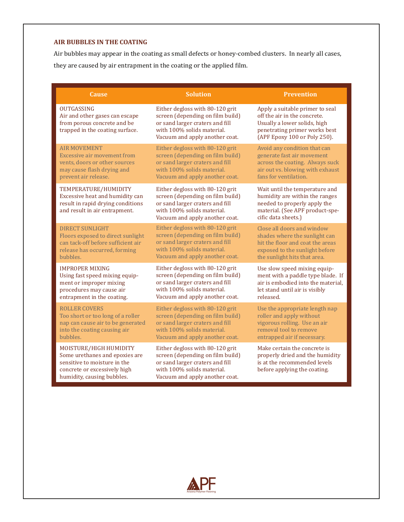#### **AIR BUBBLES IN THE COATING**

Air bubbles may appear in the coating as small defects or honey-combed clusters. In nearly all cases, they are caused by air entrapment in the coating or the applied film.

| <b>Cause</b>                                                                                                                                           | <b>Solution</b>                                                                                                                                                        | <b>Prevention</b>                                                                                                                                                |
|--------------------------------------------------------------------------------------------------------------------------------------------------------|------------------------------------------------------------------------------------------------------------------------------------------------------------------------|------------------------------------------------------------------------------------------------------------------------------------------------------------------|
| <b>OUTGASSING</b><br>Air and other gases can escape<br>from porous concrete and be<br>trapped in the coating surface.                                  | Either degloss with 80-120 grit<br>screen (depending on film build)<br>or sand larger craters and fill<br>with 100% solids material.<br>Vacuum and apply another coat. | Apply a suitable primer to seal<br>off the air in the concrete.<br>Usually a lower solids, high<br>penetrating primer works best<br>(APF Epoxy 100 or Poly 250). |
| <b>AIR MOVEMENT</b>                                                                                                                                    | Either degloss with 80-120 grit                                                                                                                                        | Avoid any condition that can                                                                                                                                     |
| Excessive air movement from                                                                                                                            | screen (depending on film build)                                                                                                                                       | generate fast air movement                                                                                                                                       |
| vents, doors or other sources                                                                                                                          | or sand larger craters and fill                                                                                                                                        | across the coating. Always suck                                                                                                                                  |
| may cause flash drying and                                                                                                                             | with 100% solids material.                                                                                                                                             | air out vs. blowing with exhaust                                                                                                                                 |
| prevent air release.                                                                                                                                   | Vacuum and apply another coat.                                                                                                                                         | fans for ventilation.                                                                                                                                            |
| TEMPERATURE/HUMIDITY<br>Excessive heat and humidity can<br>result in rapid drying conditions<br>and result in air entrapment.                          | Either degloss with 80-120 grit<br>screen (depending on film build)<br>or sand larger craters and fill<br>with 100% solids material.<br>Vacuum and apply another coat. | Wait until the temperature and<br>humidity are within the ranges<br>needed to properly apply the<br>material. (See APF product-spe-<br>cific data sheets.)       |
| <b>DIRECT SUNLIGHT</b>                                                                                                                                 | Either degloss with 80-120 grit                                                                                                                                        | Close all doors and window                                                                                                                                       |
| Floors exposed to direct sunlight                                                                                                                      | screen (depending on film build)                                                                                                                                       | shades where the sunlight can                                                                                                                                    |
| can tack-off before sufficient air                                                                                                                     | or sand larger craters and fill                                                                                                                                        | hit the floor and coat the areas                                                                                                                                 |
| release has occurred, forming                                                                                                                          | with 100% solids material.                                                                                                                                             | exposed to the sunlight before                                                                                                                                   |
| bubbles.                                                                                                                                               | Vacuum and apply another coat.                                                                                                                                         | the sunlight hits that area.                                                                                                                                     |
| <b>IMPROPER MIXING</b>                                                                                                                                 | Either degloss with 80-120 grit                                                                                                                                        | Use slow speed mixing equip-                                                                                                                                     |
| Using fast speed mixing equip-                                                                                                                         | screen (depending on film build)                                                                                                                                       | ment with a paddle type blade. If                                                                                                                                |
| ment or improper mixing                                                                                                                                | or sand larger craters and fill                                                                                                                                        | air is embodied into the material.                                                                                                                               |
| procedures may cause air                                                                                                                               | with 100% solids material.                                                                                                                                             | let stand until air is visibly                                                                                                                                   |
| entrapment in the coating.                                                                                                                             | Vacuum and apply another coat.                                                                                                                                         | released.                                                                                                                                                        |
| <b>ROLLER COVERS</b>                                                                                                                                   | Either degloss with 80-120 grit                                                                                                                                        | Use the appropriate length nap                                                                                                                                   |
| Too short or too long of a roller                                                                                                                      | screen (depending on film build)                                                                                                                                       | roller and apply without                                                                                                                                         |
| nap can cause air to be generated                                                                                                                      | or sand larger craters and fill                                                                                                                                        | vigorous rolling. Use an air                                                                                                                                     |
| into the coating causing air                                                                                                                           | with 100% solids material.                                                                                                                                             | removal tool to remove                                                                                                                                           |
| bubbles.                                                                                                                                               | Vacuum and apply another coat.                                                                                                                                         | entrapped air if necessary.                                                                                                                                      |
| MOISTURE/HIGH HUMIDITY<br>Some urethanes and epoxies are<br>sensitive to moisture in the<br>concrete or excessively high<br>humidity, causing bubbles. | Either degloss with 80-120 grit<br>screen (depending on film build)<br>or sand larger craters and fill<br>with 100% solids material.<br>Vacuum and apply another coat. | Make certain the concrete is<br>properly dried and the humidity<br>is at the recommended levels<br>before applying the coating.                                  |

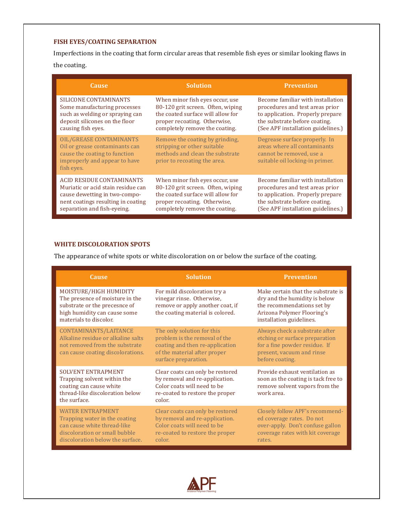# **FISH EYES/COATING SEPARATION**

Imperfections in the coating that form circular areas that resemble fish eyes or similar looking flaws in

the coating.

| <b>Cause</b>                                                                                                                              | <b>Solution</b>                                                                                                                   | <b>Prevention</b>                                                                                                            |
|-------------------------------------------------------------------------------------------------------------------------------------------|-----------------------------------------------------------------------------------------------------------------------------------|------------------------------------------------------------------------------------------------------------------------------|
| SILICONE CONTAMINANTS                                                                                                                     | When minor fish eyes occur, use                                                                                                   | Become familiar with installation                                                                                            |
| Some manufacturing processes                                                                                                              | 80-120 grit screen. Often, wiping                                                                                                 | procedures and test areas prior                                                                                              |
| such as welding or spraying can                                                                                                           | the coated surface will allow for                                                                                                 | to application. Properly prepare                                                                                             |
| deposit silicones on the floor                                                                                                            | proper recoating. Otherwise,                                                                                                      | the substrate before coating.                                                                                                |
| causing fish eyes.                                                                                                                        | completely remove the coating.                                                                                                    | (See APF installation guidelines.)                                                                                           |
| OIL/GREASE CONTAMINANTS<br>Oil or grease contaminants can<br>cause the coating to function<br>improperly and appear to have<br>fish eyes. | Remove the coating by grinding,<br>stripping or other suitable<br>methods and clean the substrate<br>prior to recoating the area. | Degrease surface properly. In<br>areas where all contaminants<br>cannot be removed, use a<br>suitable oil locking-in primer. |
| ACID RESIDUE CONTAMINANTS                                                                                                                 | When minor fish eyes occur, use                                                                                                   | Become familiar with installation                                                                                            |
| Muriatic or acid stain residue can                                                                                                        | 80-120 grit screen. Often, wiping                                                                                                 | procedures and test areas prior                                                                                              |
| cause dewetting in two-compo-                                                                                                             | the coated surface will allow for                                                                                                 | to application. Properly prepare                                                                                             |
| nent coatings resulting in coating                                                                                                        | proper recoating. Otherwise,                                                                                                      | the substrate before coating.                                                                                                |
| separation and fish-eyeing.                                                                                                               | completely remove the coating.                                                                                                    | (See APF installation guidelines.)                                                                                           |

## **WHITE DISCOLORATION SPOTS**

The appearance of white spots or white discoloration on or below the surface of the coating.

| <b>Cause</b>                                                                                                                                                 | <b>Solution</b>                                                                                                                                        | <b>Prevention</b>                                                                                                                                           |
|--------------------------------------------------------------------------------------------------------------------------------------------------------------|--------------------------------------------------------------------------------------------------------------------------------------------------------|-------------------------------------------------------------------------------------------------------------------------------------------------------------|
| MOISTURE/HIGH HUMIDITY<br>The presence of moisture in the<br>substrate or the precesnce of<br>high humidity can cause some<br>materials to discolor.         | For mild discoloration try a<br>vinegar rinse. Otherwise,<br>remove or apply another coat, if<br>the coating material is colored.                      | Make certain that the substrate is<br>dry and the humidity is below<br>the recommendations set by<br>Arizona Polymer Flooring's<br>installation guidelines. |
| CONTAMINANTS/LAITANCE<br>Alkaline residue or alkaline salts<br>not removed from the substrate<br>can cause coating discolorations.                           | The only solution for this<br>problem is the removal of the<br>coating and then re-application<br>of the material after proper<br>surface preparation. | Always check a substrate after<br>etching or surface preparation<br>for a fine powder residue. If<br>present, vacuum and rinse<br>before coating.           |
| <b>SOLVENT ENTRAPMENT</b><br>Trapping solvent within the.<br>coating can cause white<br>thread-like discoloration below<br>the surface.                      | Clear coats can only be restored<br>by removal and re-application.<br>Color coats will need to be<br>re-coated to restore the proper<br>color.         | Provide exhaust ventilation as<br>soon as the coating is tack free to<br>remove solvent vapors from the<br>work area.                                       |
| <b>WATER ENTRAPMENT</b><br>Trapping water in the coating<br>can cause white thread-like<br>discoloration or small bubble<br>discoloration below the surface. | Clear coats can only be restored<br>by removal and re-application.<br>Color coats will need to be<br>re-coated to restore the proper<br>color.         | Closely follow APF's recommend-<br>ed coverage rates. Do not<br>over-apply. Don't confuse gallon<br>coverage rates with kit coverage<br>rates.              |

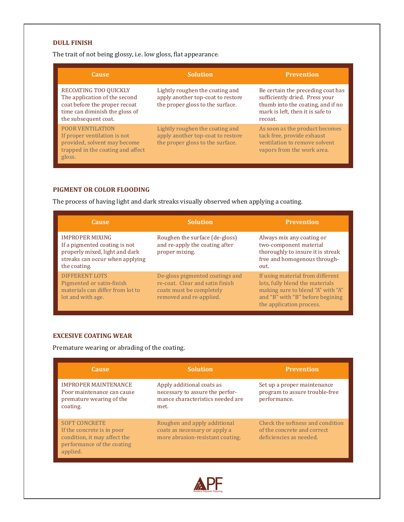#### **DULL FINISH**

The trait of not being glossy, i.e. low gloss, flat appearance.

| <b>Cause</b>                                                                                                                                      | <b>Solution</b>                                                                                          | <b>Prevention</b>                                                                                                                                       |
|---------------------------------------------------------------------------------------------------------------------------------------------------|----------------------------------------------------------------------------------------------------------|---------------------------------------------------------------------------------------------------------------------------------------------------------|
| RECOATING TOO QUICKLY<br>The application of the second<br>coat before the proper recoat<br>time can diminish the gloss of<br>the subsequent coat. | Lightly roughen the coating and<br>apply another top-coat to restore<br>the proper gloss to the surface. | Be certain the preceding coat has<br>sufficiently dried. Press your<br>thumb into the coating, and if no<br>mark is left, then it is safe to<br>recoat. |
| <b>POOR VENTILATION</b><br>If proper ventilation is not<br>provided, solvent may become<br>trapped in the coating and affect<br>gloss.            | Lightly roughen the coating and<br>apply another top-coat to restore<br>the proper gloss to the surface. | As soon as the product becomes<br>tack free, provide exhaust<br>ventilation to remove solvent<br>vapors from the work area.                             |

## **PIGMENT OR COLOR FLOODING**

The process of having light and dark streaks visually observed when applying a coating.

| <b>Cause</b>                                                                                                                                 | <b>Solution</b>                                                                                                           | <b>Prevention</b>                                                                                                                                                        |
|----------------------------------------------------------------------------------------------------------------------------------------------|---------------------------------------------------------------------------------------------------------------------------|--------------------------------------------------------------------------------------------------------------------------------------------------------------------------|
| <b>IMPROPER MIXING</b><br>If a pigmented coating is not<br>properly mixed, light and dark<br>streaks can occur when applying<br>the coating. | Roughen the surface (de-gloss)<br>and re-apply the coating after<br>proper mixing.                                        | Always mix any coating or<br>two-component material<br>thoroughly to insure it is streak<br>free and homogenous through-<br>out.                                         |
| <b>DIFFERENT LOTS</b><br>Pigmented or satin-finish<br>materials can differ from lot to<br>lot and with age.                                  | De-gloss pigmented coatings and<br>re-coat. Clear and satin finish<br>coats must be completely<br>removed and re-applied. | If using material from different<br>lots, fully blend the materials<br>making sure to blend "A" with "A"<br>and "B" with "B" before begining<br>the application process. |

## **EXCESIVE COATING WEAR**

Premature wearing or abrading of the coating.

| <b>Cause</b>                                                                                                                 | <b>Solution</b>                                                                                          | <b>Prevention</b>                                                                          |
|------------------------------------------------------------------------------------------------------------------------------|----------------------------------------------------------------------------------------------------------|--------------------------------------------------------------------------------------------|
| <b>IMPROPER MAINTENANCE</b><br>Poor maintenance can cause<br>premature wearing of the<br>coating.                            | Apply additional coats as<br>necessary to assure the perfor-<br>mance characteristics needed are<br>met. | Set up a proper maintenance<br>program to assure trouble-free<br>performance.              |
| <b>SOFT CONCRETE</b><br>If the concrete is in poor<br>condition, it may affect the<br>performance of the coating<br>applied. | Roughen and apply additional<br>coats as necessary or apply a<br>more abrasion-resistant coating.        | Check the softness and condition<br>of the concrete and correct<br>deficiencies as needed. |